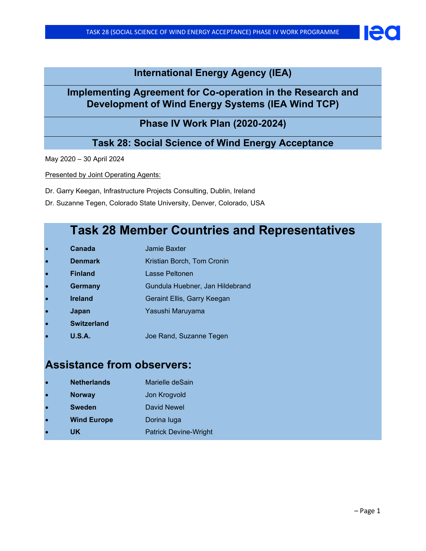### **International Energy Agency (IEA)**

## **Implementing Agreement for Co-operation in the Research and Development of Wind Energy Systems (IEA Wind TCP)**

### **Phase IV Work Plan (2020-2024)**

### **Task 28: Social Science of Wind Energy Acceptance**

May 2020 – 30 April 2024

Presented by Joint Operating Agents:

Dr. Garry Keegan, Infrastructure Projects Consulting, Dublin, Ireland

Dr. Suzanne Tegen, Colorado State University, Denver, Colorado, USA

## **Task 28 Member Countries and Representatives**

- **Canada** Jamie Baxter
- **Denmark** Kristian Borch, Tom Cronin
- **Finland** Lasse Peltonen
- **Germany Gundula Huebner, Jan Hildebrand**
- **Ireland Geraint Ellis, Garry Keegan**
- **Japan** Yasushi Maruyama
- **Switzerland**
- **U.S.A.** Joe Rand, Suzanne Tegen

## **Assistance from observers:**

- **Netherlands** Marielle deSain
- **Norway Jon Krogvold**
- **Sweden** David Newel
- **Wind Europe** Dorina luga
- **UK** Patrick Devine-Wright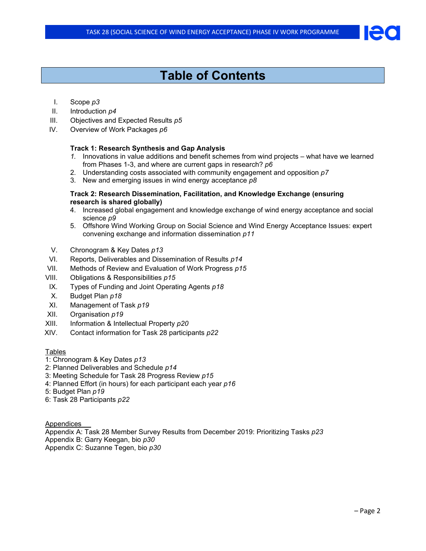# **Table of Contents**

### I. Scope *p3*

- II. Introduction *p4*
- III. Objectives and Expected Results *p5*
- IV. Overview of Work Packages *p6*

### **Track 1: Research Synthesis and Gap Analysis**

- *1.* Innovations in value additions and benefit schemes from wind projects what have we learned from Phases 1-3, and where are current gaps in research? *p6*
- 2. Understanding costs associated with community engagement and opposition *p7*
- 3. New and emerging issues in wind energy acceptance *p8*

#### **Track 2: Research Dissemination, Facilitation, and Knowledge Exchange (ensuring research is shared globally)**

- 4. Increased global engagement and knowledge exchange of wind energy acceptance and social science *p9*
- 5. Offshore Wind Working Group on Social Science and Wind Energy Acceptance Issues: expert convening exchange and information dissemination *p11*
- V. Chronogram & Key Dates *p13*
- VI. Reports, Deliverables and Dissemination of Results *p14*
- VII. Methods of Review and Evaluation of Work Progress *p15*
- VIII. Obligations & Responsibilities *p15*
- IX. Types of Funding and Joint Operating Agents *p18*
- X. Budget Plan *p18*
- XI. Management of Task *p19*
- XII. Organisation *p19*
- XIII. Information & Intellectual Property *p20*
- XIV. Contact information for Task 28 participants *p22*

### Tables

- 1: Chronogram & Key Dates *p13*
- 2: Planned Deliverables and Schedule *p14*
- 3: Meeting Schedule for Task 28 Progress Review *p15*
- 4: Planned Effort (in hours) for each participant each year *p16*
- 5: Budget Plan *p19*
- 6: Task 28 Participants *p22*

Appendices

Appendix A: Task 28 Member Survey Results from December 2019: Prioritizing Tasks *p23*

- Appendix B: Garry Keegan, bio *p30*
- Appendix C: Suzanne Tegen, bio *p30*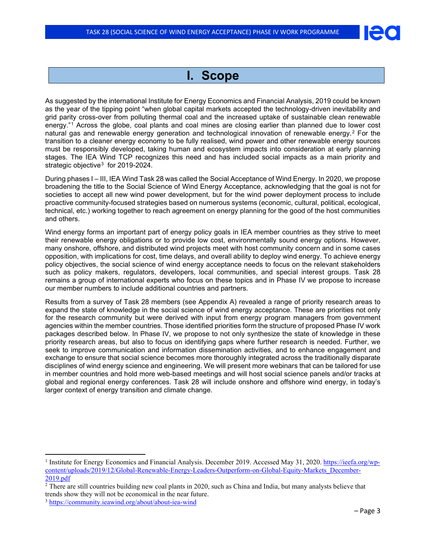

## **I. Scope**

As suggested by the international Institute for Energy Economics and Financial Analysis, 2019 could be known as the year of the tipping point "when global capital markets accepted the technology-driven inevitability and grid parity cross-over from polluting thermal coal and the increased uptake of sustainable clean renewable energy."[1](#page-2-0) Across the globe, coal plants and coal mines are closing earlier than planned due to lower cost natural gas and renewable energy generation and technological innovation of renewable energy.[2](#page-2-1) For the transition to a cleaner energy economy to be fully realised, wind power and other renewable energy sources must be responsibly developed, taking human and ecosystem impacts into consideration at early planning stages. The IEA Wind TCP recognizes this need and has included social impacts as a main priority and strategic objective<sup>[3](#page-2-2)</sup> for 2019-2024.

During phases I – III, IEA Wind Task 28 was called the Social Acceptance of Wind Energy. In 2020, we propose broadening the title to the Social Science of Wind Energy Acceptance, acknowledging that the goal is not for societies to accept all new wind power development, but for the wind power deployment process to include proactive community-focused strategies based on numerous systems (economic, cultural, political, ecological, technical, etc.) working together to reach agreement on energy planning for the good of the host communities and others.

Wind energy forms an important part of energy policy goals in IEA member countries as they strive to meet their renewable energy obligations or to provide low cost, environmentally sound energy options. However, many onshore, offshore, and distributed wind projects meet with host community concern and in some cases opposition, with implications for cost, time delays, and overall ability to deploy wind energy. To achieve energy policy objectives, the social science of wind energy acceptance needs to focus on the relevant stakeholders such as policy makers, regulators, developers, local communities, and special interest groups. Task 28 remains a group of international experts who focus on these topics and in Phase IV we propose to increase our member numbers to include additional countries and partners.

Results from a survey of Task 28 members (see Appendix A) revealed a range of priority research areas to expand the state of knowledge in the social science of wind energy acceptance. These are priorities not only for the research community but were derived with input from energy program managers from government agencies within the member countries. Those identified priorities form the structure of proposed Phase IV work packages described below. In Phase IV, we propose to not only synthesize the state of knowledge in these priority research areas, but also to focus on identifying gaps where further research is needed. Further, we seek to improve communication and information dissemination activities, and to enhance engagement and exchange to ensure that social science becomes more thoroughly integrated across the traditionally disparate disciplines of wind energy science and engineering. We will present more webinars that can be tailored for use in member countries and hold more web-based meetings and will host social science panels and/or tracks at global and regional energy conferences. Task 28 will include onshore and offshore wind energy, in today's larger context of energy transition and climate change.

<span id="page-2-0"></span><sup>&</sup>lt;sup>1</sup> Institute for Energy Economics and Financial Analysis. December 2019. Accessed May 31, 2020. [https://ieefa.org/wp](https://ieefa.org/wp-content/uploads/2019/12/Global-Renewable-Energy-Leaders-Outperform-on-Global-Equity-Markets_December-2019.pdf)[content/uploads/2019/12/Global-Renewable-Energy-Leaders-Outperform-on-Global-Equity-Markets\\_December-](https://ieefa.org/wp-content/uploads/2019/12/Global-Renewable-Energy-Leaders-Outperform-on-Global-Equity-Markets_December-2019.pdf)[2019.pdf](https://ieefa.org/wp-content/uploads/2019/12/Global-Renewable-Energy-Leaders-Outperform-on-Global-Equity-Markets_December-2019.pdf)

<span id="page-2-1"></span><sup>&</sup>lt;sup>2</sup> There are still countries building new coal plants in 2020, such as China and India, but many analysts believe that trends show they will not be economical in the near future.

<span id="page-2-2"></span><sup>3</sup> <https://community.ieawind.org/about/about-iea-wind>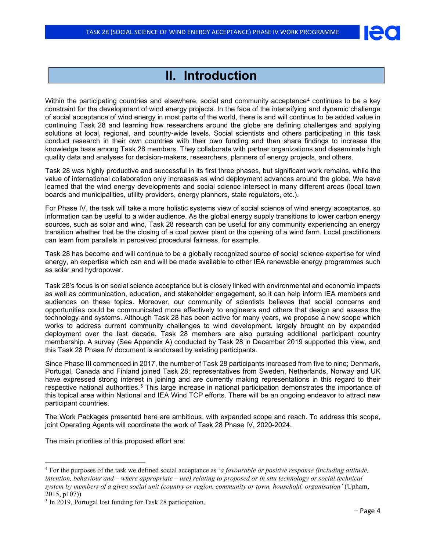## **II. Introduction**

Within the participating countries and elsewhere, social and community acceptance<sup>[4](#page-3-0)</sup> continues to be a key constraint for the development of wind energy projects. In the face of the intensifying and dynamic challenge of social acceptance of wind energy in most parts of the world, there is and will continue to be added value in continuing Task 28 and learning how researchers around the globe are defining challenges and applying solutions at local, regional, and country-wide levels. Social scientists and others participating in this task conduct research in their own countries with their own funding and then share findings to increase the knowledge base among Task 28 members. They collaborate with partner organizations and disseminate high quality data and analyses for decision-makers, researchers, planners of energy projects, and others.

Task 28 was highly productive and successful in its first three phases, but significant work remains, while the value of international collaboration only increases as wind deployment advances around the globe. We have learned that the wind energy developments and social science intersect in many different areas (local town boards and municipalities, utility providers, energy planners, state regulators, etc.).

For Phase IV, the task will take a more holistic systems view of social science of wind energy acceptance, so information can be useful to a wider audience. As the global energy supply transitions to lower carbon energy sources, such as solar and wind, Task 28 research can be useful for any community experiencing an energy transition whether that be the closing of a coal power plant or the opening of a wind farm. Local practitioners can learn from parallels in perceived procedural fairness, for example.

Task 28 has become and will continue to be a globally recognized source of social science expertise for wind energy, an expertise which can and will be made available to other IEA renewable energy programmes such as solar and hydropower.

Task 28's focus is on social science acceptance but is closely linked with environmental and economic impacts as well as communication, education, and stakeholder engagement, so it can help inform IEA members and audiences on these topics. Moreover, our community of scientists believes that social concerns and opportunities could be communicated more effectively to engineers and others that design and assess the technology and systems. Although Task 28 has been active for many years, we propose a new scope which works to address current community challenges to wind development, largely brought on by expanded deployment over the last decade. Task 28 members are also pursuing additional participant country membership. A survey (See Appendix A) conducted by Task 28 in December 2019 supported this view, and this Task 28 Phase IV document is endorsed by existing participants.

Since Phase III commenced in 2017, the number of Task 28 participants increased from five to nine; Denmark, Portugal, Canada and Finland joined Task 28; representatives from Sweden, Netherlands, Norway and UK have expressed strong interest in joining and are currently making representations in this regard to their respective national authorities.<sup>[5](#page-3-1)</sup> This large increase in national participation demonstrates the importance of this topical area within National and IEA Wind TCP efforts. There will be an ongoing endeavor to attract new participant countries.

The Work Packages presented here are ambitious, with expanded scope and reach. To address this scope, joint Operating Agents will coordinate the work of Task 28 Phase IV, 2020-2024.

The main priorities of this proposed effort are:

<span id="page-3-0"></span><sup>4</sup> For the purposes of the task we defined social acceptance as '*a favourable or positive response (including attitude, intention, behaviour and – where appropriate – use) relating to proposed or in situ technology or social technical system by members of a given social unit (country or region, community or town, household, organisation'* (Upham, 2015, p107))

<span id="page-3-1"></span><sup>&</sup>lt;sup>5</sup> In 2019, Portugal lost funding for Task 28 participation.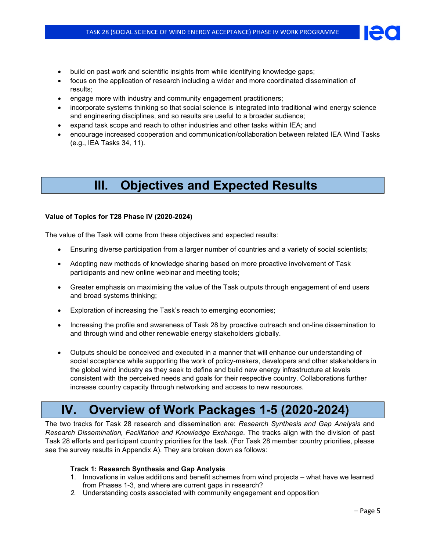- build on past work and scientific insights from while identifying knowledge gaps;
- focus on the application of research including a wider and more coordinated dissemination of results;
- engage more with industry and community engagement practitioners;
- incorporate systems thinking so that social science is integrated into traditional wind energy science and engineering disciplines, and so results are useful to a broader audience;
- expand task scope and reach to other industries and other tasks within IEA; and
- encourage increased cooperation and communication/collaboration between related IEA Wind Tasks (e.g., IEA Tasks 34, 11).

# **III. Objectives and Expected Results**

### **Value of Topics for T28 Phase IV (2020-2024)**

The value of the Task will come from these objectives and expected results:

- Ensuring diverse participation from a larger number of countries and a variety of social scientists;
- Adopting new methods of knowledge sharing based on more proactive involvement of Task participants and new online webinar and meeting tools;
- Greater emphasis on maximising the value of the Task outputs through engagement of end users and broad systems thinking;
- Exploration of increasing the Task's reach to emerging economies;
- Increasing the profile and awareness of Task 28 by proactive outreach and on-line dissemination to and through wind and other renewable energy stakeholders globally.
- Outputs should be conceived and executed in a manner that will enhance our understanding of social acceptance while supporting the work of policy-makers, developers and other stakeholders in the global wind industry as they seek to define and build new energy infrastructure at levels consistent with the perceived needs and goals for their respective country. Collaborations further increase country capacity through networking and access to new resources.

## **IV. Overview of Work Packages 1-5 (2020-2024)**

The two tracks for Task 28 research and dissemination are: *Research Synthesis and Gap Analysis* and *Research Dissemination, Facilitation and Knowledge Exchange.* The tracks align with the division of past Task 28 efforts and participant country priorities for the task. (For Task 28 member country priorities, please see the survey results in Appendix A). They are broken down as follows:

### **Track 1: Research Synthesis and Gap Analysis**

- 1. Innovations in value additions and benefit schemes from wind projects what have we learned from Phases 1-3, and where are current gaps in research?
- *2.* Understanding costs associated with community engagement and opposition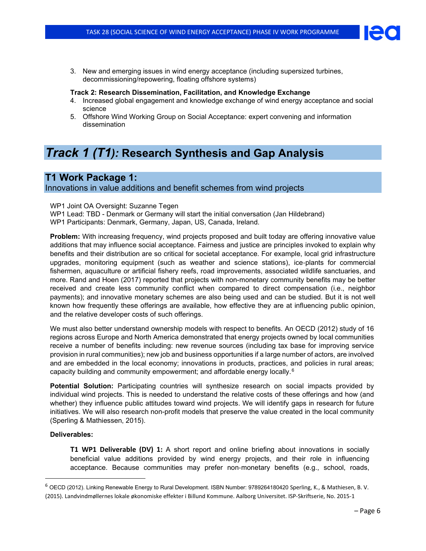- 
- 3. New and emerging issues in wind energy acceptance (including supersized turbines, decommissioning/repowering, floating offshore systems)

### **Track 2: Research Dissemination, Facilitation, and Knowledge Exchange**

- 4. Increased global engagement and knowledge exchange of wind energy acceptance and social science
- 5. Offshore Wind Working Group on Social Acceptance: expert convening and information dissemination

## *Track 1 (T1):* **Research Synthesis and Gap Analysis**

### **T1 Work Package 1:**

Innovations in value additions and benefit schemes from wind projects

WP1 Joint OA Oversight: Suzanne Tegen

WP1 Lead: TBD - Denmark or Germany will start the initial conversation (Jan Hildebrand) WP1 Participants: Denmark, Germany, Japan, US, Canada, Ireland.

**Problem:** With increasing frequency, wind projects proposed and built today are offering innovative value additions that may influence social acceptance. Fairness and justice are principles invoked to explain why benefits and their distribution are so critical for societal acceptance. For example, local grid infrastructure upgrades, monitoring equipment (such as weather and science stations), ice‐plants for commercial fishermen, aquaculture or artificial fishery reefs, road improvements, associated wildlife sanctuaries, and more. Rand and Hoen (2017) reported that projects with non-monetary community benefits may be better received and create less community conflict when compared to direct compensation (i.e., neighbor payments); and innovative monetary schemes are also being used and can be studied. But it is not well known how frequently these offerings are available, how effective they are at influencing public opinion, and the relative developer costs of such offerings.

We must also better understand ownership models with respect to benefits. An OECD (2012) study of 16 regions across Europe and North America demonstrated that energy projects owned by local communities receive a number of benefits including: new revenue sources (including tax base for improving service provision in rural communities); new job and business opportunities if a large number of actors, are involved and are embedded in the local economy; innovations in products, practices, and policies in rural areas; capacity building and community empowerment; and affordable energy locally.[6](#page-5-0)

**Potential Solution:** Participating countries will synthesize research on social impacts provided by individual wind projects. This is needed to understand the relative costs of these offerings and how (and whether) they influence public attitudes toward wind projects. We will identify gaps in research for future initiatives. We will also research non-profit models that preserve the value created in the local community (Sperling & Mathiessen, 2015).

### **Deliverables:**

**T1 WP1 Deliverable (DV) 1:** A short report and online briefing about innovations in socially beneficial value additions provided by wind energy projects, and their role in influencing acceptance. Because communities may prefer non‐monetary benefits (e.g., school, roads,

<span id="page-5-0"></span><sup>6</sup> OECD (2012). Linking Renewable Energy to Rural Development. ISBN Number: 9789264180420 Sperling, K., & Mathiesen, B. V. (2015). Landvindmøllernes lokale økonomiske effekter i Billund Kommune. Aalborg Universitet. ISP-Skriftserie, No. 2015-1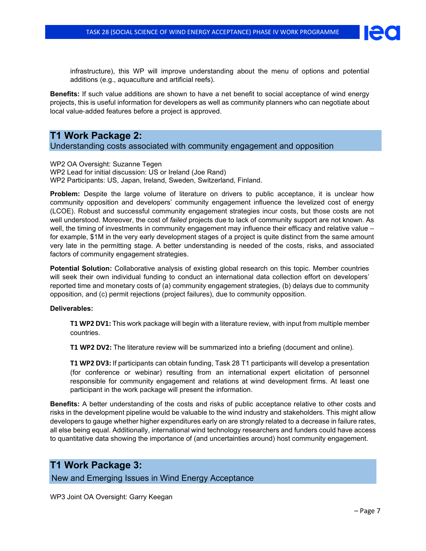infrastructure), this WP will improve understanding about the menu of options and potential additions (e.g., aquaculture and artificial reefs).

**Benefits:** If such value additions are shown to have a net benefit to social acceptance of wind energy projects, this is useful information for developers as well as community planners who can negotiate about local value‐added features before a project is approved.

### **T1 Work Package 2:**

Understanding costs associated with community engagement and opposition

WP2 OA Oversight: Suzanne Tegen WP2 Lead for initial discussion: US or Ireland (Joe Rand) WP2 Participants: US, Japan, Ireland, Sweden, Switzerland, Finland.

**Problem:** Despite the large volume of literature on drivers to public acceptance, it is unclear how community opposition and developers' community engagement influence the levelized cost of energy (LCOE). Robust and successful community engagement strategies incur costs, but those costs are not well understood. Moreover, the cost of *failed* projects due to lack of community support are not known. As well, the timing of investments in community engagement may influence their efficacy and relative value – for example, \$1M in the very early development stages of a project is quite distinct from the same amount very late in the permitting stage. A better understanding is needed of the costs, risks, and associated factors of community engagement strategies.

**Potential Solution:** Collaborative analysis of existing global research on this topic. Member countries will seek their own individual funding to conduct an international data collection effort on developers' reported time and monetary costs of (a) community engagement strategies, (b) delays due to community opposition, and (c) permit rejections (project failures), due to community opposition.

### **Deliverables:**

**T1 WP2 DV1:** This work package will begin with a literature review, with input from multiple member countries.

**T1 WP2 DV2:** The literature review will be summarized into a briefing (document and online).

**T1 WP2 DV3:** If participants can obtain funding, Task 28 T1 participants will develop a presentation (for conference or webinar) resulting from an international expert elicitation of personnel responsible for community engagement and relations at wind development firms. At least one participant in the work package will present the information.

**Benefits:** A better understanding of the costs and risks of public acceptance relative to other costs and risks in the development pipeline would be valuable to the wind industry and stakeholders. This might allow developers to gauge whether higher expenditures early on are strongly related to a decrease in failure rates, all else being equal. Additionally, international wind technology researchers and funders could have access to quantitative data showing the importance of (and uncertainties around) host community engagement.

### **T1 Work Package 3:**

New and Emerging Issues in Wind Energy Acceptance

WP3 Joint OA Oversight: Garry Keegan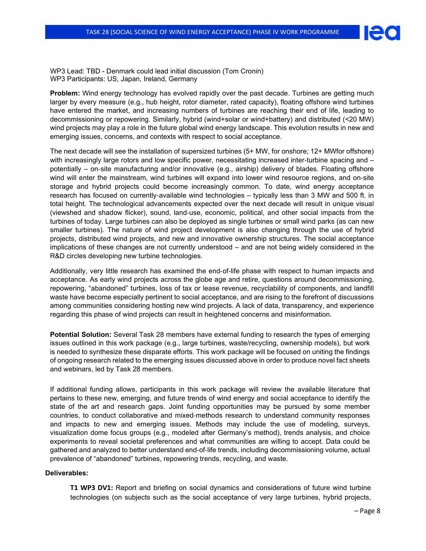

WP3 Lead: TBD - Denmark could lead initial discussion (Tom Cronin) WP3 Participants: US, Japan, Ireland, Germany

**Problem:** Wind energy technology has evolved rapidly over the past decade. Turbines are getting much larger by every measure (e.g., hub height, rotor diameter, rated capacity), floating offshore wind turbines have entered the market, and increasing numbers of turbines are reaching their end of life, leading to decommissioning or repowering. Similarly, hybrid (wind+solar or wind+battery) and distributed (<20 MW) wind projects may play a role in the future global wind energy landscape. This evolution results in new and emerging issues, concerns, and contexts with respect to social acceptance.

The next decade will see the installation of supersized turbines (5+ MW, for onshore; 12+ MWfor offshore) with increasingly large rotors and low specific power, necessitating increased inter-turbine spacing and – potentially – on‐site manufacturing and/or innovative (e.g., airship) delivery of blades. Floating offshore wind will enter the mainstream, wind turbines will expand into lower wind resource regions, and on-site storage and hybrid projects could become increasingly common. To date, wind energy acceptance research has focused on currently‐available wind technologies – typically less than 3 MW and 500 ft. in total height. The technological advancements expected over the next decade will result in unique visual (viewshed and shadow flicker), sound, land‐use, economic, political, and other social impacts from the turbines of today. Large turbines can also be deployed as single turbines or small wind parks (as can new smaller turbines). The nature of wind project development is also changing through the use of hybrid projects, distributed wind projects, and new and innovative ownership structures. The social acceptance implications of these changes are not currently understood – and are not being widely considered in the R&D circles developing new turbine technologies.

Additionally, very little research has examined the end‐of‐life phase with respect to human impacts and acceptance. As early wind projects across the globe age and retire, questions around decommissioning, repowering, "abandoned" turbines, loss of tax or lease revenue, recyclability of components, and landfill waste have become especially pertinent to social acceptance, and are rising to the forefront of discussions among communities considering hosting new wind projects. A lack of data, transparency, and experience regarding this phase of wind projects can result in heightened concerns and misinformation.

**Potential Solution:** Several Task 28 members have external funding to research the types of emerging issues outlined in this work package (e.g., large turbines, waste/recycling, ownership models), but work is needed to synthesize these disparate efforts. This work package will be focused on uniting the findings of ongoing research related to the emerging issues discussed above in order to produce novel fact sheets and webinars, led by Task 28 members.

If additional funding allows, participants in this work package will review the available literature that pertains to these new, emerging, and future trends of wind energy and social acceptance to identify the state of the art and research gaps. Joint funding opportunities may be pursued by some member countries, to conduct collaborative and mixed‐methods research to understand community responses and impacts to new and emerging issues. Methods may include the use of modeling, surveys, visualization dome focus groups (e.g., modeled after Germany's method), trends analysis, and choice experiments to reveal societal preferences and what communities are willing to accept. Data could be gathered and analyzed to better understand end‐of‐life trends, including decommissioning volume, actual prevalence of "abandoned" turbines, repowering trends, recycling, and waste.

#### **Deliverables:**

**T1 WP3 DV1:** Report and briefing on social dynamics and considerations of future wind turbine technologies (on subjects such as the social acceptance of very large turbines, hybrid projects,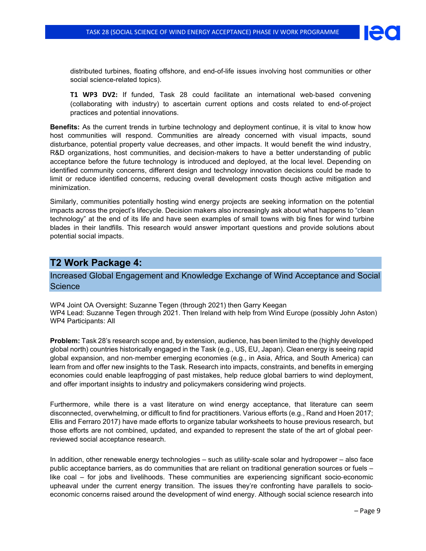

distributed turbines, floating offshore, and end-of-life issues involving host communities or other social science-related topics).

**T1 WP3 DV2:** If funded, Task 28 could facilitate an international web-based convening (collaborating with industry) to ascertain current options and costs related to end‐of‐project practices and potential innovations.

**Benefits:** As the current trends in turbine technology and deployment continue, it is vital to know how host communities will respond. Communities are already concerned with visual impacts, sound disturbance, potential property value decreases, and other impacts. It would benefit the wind industry, R&D organizations, host communities, and decision-makers to have a better understanding of public acceptance before the future technology is introduced and deployed, at the local level. Depending on identified community concerns, different design and technology innovation decisions could be made to limit or reduce identified concerns, reducing overall development costs though active mitigation and minimization.

Similarly, communities potentially hosting wind energy projects are seeking information on the potential impacts across the project's lifecycle. Decision makers also increasingly ask about what happens to "clean technology" at the end of its life and have seen examples of small towns with big fines for wind turbine blades in their landfills. This research would answer important questions and provide solutions about potential social impacts.

### **T2 Work Package 4:**

Increased Global Engagement and Knowledge Exchange of Wind Acceptance and Social **Science** 

WP4 Joint OA Oversight: Suzanne Tegen (through 2021) then Garry Keegan WP4 Lead: Suzanne Tegen through 2021. Then Ireland with help from Wind Europe (possibly John Aston) WP4 Participants: All

**Problem:** Task 28's research scope and, by extension, audience, has been limited to the (highly developed global north) countries historically engaged in the Task (e.g., US, EU, Japan). Clean energy is seeing rapid global expansion, and non‐member emerging economies (e.g., in Asia, Africa, and South America) can learn from and offer new insights to the Task. Research into impacts, constraints, and benefits in emerging economies could enable leapfrogging of past mistakes, help reduce global barriers to wind deployment, and offer important insights to industry and policymakers considering wind projects.

Furthermore, while there is a vast literature on wind energy acceptance, that literature can seem disconnected, overwhelming, or difficult to find for practitioners. Various efforts (e.g., Rand and Hoen 2017; Ellis and Ferraro 2017) have made efforts to organize tabular worksheets to house previous research, but those efforts are not combined, updated, and expanded to represent the state of the art of global peer‐ reviewed social acceptance research.

In addition, other renewable energy technologies – such as utility-scale solar and hydropower – also face public acceptance barriers, as do communities that are reliant on traditional generation sources or fuels – like coal – for jobs and livelihoods. These communities are experiencing significant socio‐economic upheaval under the current energy transition. The issues they're confronting have parallels to socioeconomic concerns raised around the development of wind energy. Although social science research into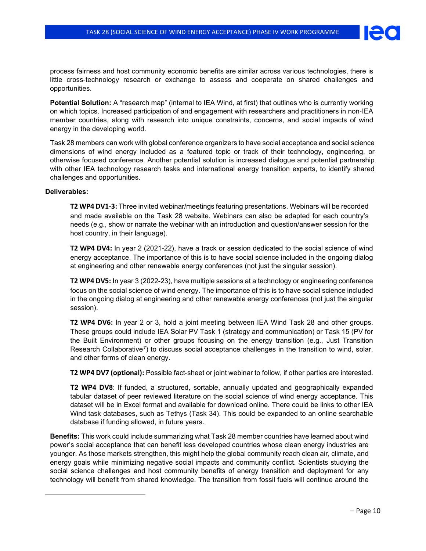

process fairness and host community economic benefits are similar across various technologies, there is little cross‐technology research or exchange to assess and cooperate on shared challenges and opportunities.

**Potential Solution:** A "research map" (internal to IEA Wind, at first) that outlines who is currently working on which topics. Increased participation of and engagement with researchers and practitioners in non‐IEA member countries, along with research into unique constraints, concerns, and social impacts of wind energy in the developing world.

Task 28 members can work with global conference organizers to have social acceptance and social science dimensions of wind energy included as a featured topic or track of their technology, engineering, or otherwise focused conference. Another potential solution is increased dialogue and potential partnership with other IEA technology research tasks and international energy transition experts, to identify shared challenges and opportunities.

#### **Deliverables:**

**T2 WP4 DV1-3:** Three invited webinar/meetings featuring presentations. Webinars will be recorded and made available on the Task 28 website. Webinars can also be adapted for each country's needs (e.g., show or narrate the webinar with an introduction and question/answer session for the host country, in their language).

**T2 WP4 DV4:** In year 2 (2021-22), have a track or session dedicated to the social science of wind energy acceptance. The importance of this is to have social science included in the ongoing dialog at engineering and other renewable energy conferences (not just the singular session).

**T2 WP4 DV5:** In year 3 (2022-23), have multiple sessions at a technology or engineering conference focus on the social science of wind energy. The importance of this is to have social science included in the ongoing dialog at engineering and other renewable energy conferences (not just the singular session).

**T2 WP4 DV6:** In year 2 or 3, hold a joint meeting between IEA Wind Task 28 and other groups. These groups could include IEA Solar PV Task 1 (strategy and communication) or Task 15 (PV for the Built Environment) or other groups focusing on the energy transition (e.g., Just Transition Research Collaborative<sup>7</sup>) to discuss social acceptance challenges in the transition to wind, solar, and other forms of clean energy.

**T2 WP4 DV7 (optional):** Possible fact‐sheet or joint webinar to follow, if other parties are interested.

**T2 WP4 DV8**: If funded, a structured, sortable, annually updated and geographically expanded tabular dataset of peer reviewed literature on the social science of wind energy acceptance. This dataset will be in Excel format and available for download online. There could be links to other IEA Wind task databases, such as Tethys (Task 34). This could be expanded to an online searchable database if funding allowed, in future years.

<span id="page-9-0"></span>**Benefits:** This work could include summarizing what Task 28 member countries have learned about wind power's social acceptance that can benefit less developed countries whose clean energy industries are younger. As those markets strengthen, this might help the global community reach clean air, climate, and energy goals while minimizing negative social impacts and community conflict. Scientists studying the social science challenges and host community benefits of energy transition and deployment for any technology will benefit from shared knowledge. The transition from fossil fuels will continue around the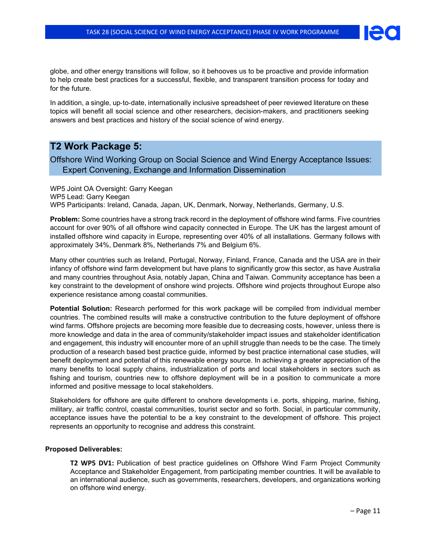

globe, and other energy transitions will follow, so it behooves us to be proactive and provide information to help create best practices for a successful, flexible, and transparent transition process for today and for the future.

In addition, a single, up‐to‐date, internationally inclusive spreadsheet of peer reviewed literature on these topics will benefit all social science and other researchers, decision-makers, and practitioners seeking answers and best practices and history of the social science of wind energy.

### **T2 Work Package 5:**

Offshore Wind Working Group on Social Science and Wind Energy Acceptance Issues: Expert Convening, Exchange and Information Dissemination

WP5 Joint OA Oversight: Garry Keegan WP5 Lead: Garry Keegan WP5 Participants: Ireland, Canada, Japan, UK, Denmark, Norway, Netherlands, Germany, U.S.

**Problem:** Some countries have a strong track record in the deployment of offshore wind farms. Five countries account for over 90% of all offshore wind capacity connected in Europe. The UK has the largest amount of installed offshore wind capacity in Europe, representing over 40% of all installations. Germany follows with approximately 34%, Denmark 8%, Netherlands 7% and Belgium 6%.

Many other countries such as Ireland, Portugal, Norway, Finland, France, Canada and the USA are in their infancy of offshore wind farm development but have plans to significantly grow this sector, as have Australia and many countries throughout Asia, notably Japan, China and Taiwan. Community acceptance has been a key constraint to the development of onshore wind projects. Offshore wind projects throughout Europe also experience resistance among coastal communities.

**Potential Solution:** Research performed for this work package will be compiled from individual member countries. The combined results will make a constructive contribution to the future deployment of offshore wind farms. Offshore projects are becoming more feasible due to decreasing costs, however, unless there is more knowledge and data in the area of community/stakeholder impact issues and stakeholder identification and engagement, this industry will encounter more of an uphill struggle than needs to be the case. The timely production of a research based best practice guide, informed by best practice international case studies, will benefit deployment and potential of this renewable energy source. In achieving a greater appreciation of the many benefits to local supply chains, industrialization of ports and local stakeholders in sectors such as fishing and tourism, countries new to offshore deployment will be in a position to communicate a more informed and positive message to local stakeholders.

Stakeholders for offshore are quite different to onshore developments i.e. ports, shipping, marine, fishing, military, air traffic control, coastal communities, tourist sector and so forth. Social, in particular community, acceptance issues have the potential to be a key constraint to the development of offshore. This project represents an opportunity to recognise and address this constraint.

### **Proposed Deliverables:**

**T2 WP5 DV1:** Publication of best practice guidelines on Offshore Wind Farm Project Community Acceptance and Stakeholder Engagement, from participating member countries. It will be available to an international audience, such as governments, researchers, developers, and organizations working on offshore wind energy.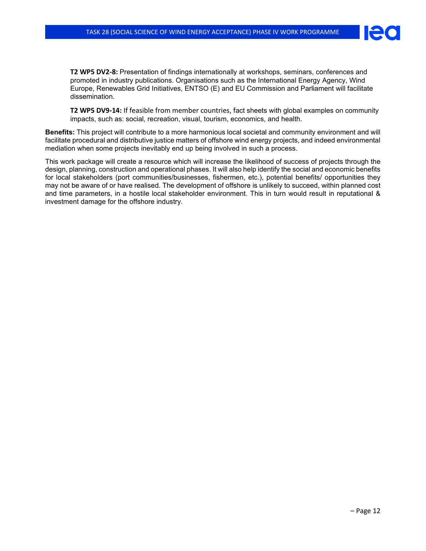

**T2 WP5 DV2-8:** Presentation of findings internationally at workshops, seminars, conferences and promoted in industry publications. Organisations such as the International Energy Agency, Wind Europe, Renewables Grid Initiatives, ENTSO (E) and EU Commission and Parliament will facilitate dissemination.

**T2 WP5 DV9-14:** If feasible from member countries, fact sheets with global examples on community impacts, such as: social, recreation, visual, tourism, economics, and health.

**Benefits:** This project will contribute to a more harmonious local societal and community environment and will facilitate procedural and distributive justice matters of offshore wind energy projects, and indeed environmental mediation when some projects inevitably end up being involved in such a process.

This work package will create a resource which will increase the likelihood of success of projects through the design, planning, construction and operational phases. It will also help identify the social and economic benefits for local stakeholders (port communities/businesses, fishermen, etc.), potential benefits/ opportunities they may not be aware of or have realised. The development of offshore is unlikely to succeed, within planned cost and time parameters, in a hostile local stakeholder environment. This in turn would result in reputational & investment damage for the offshore industry.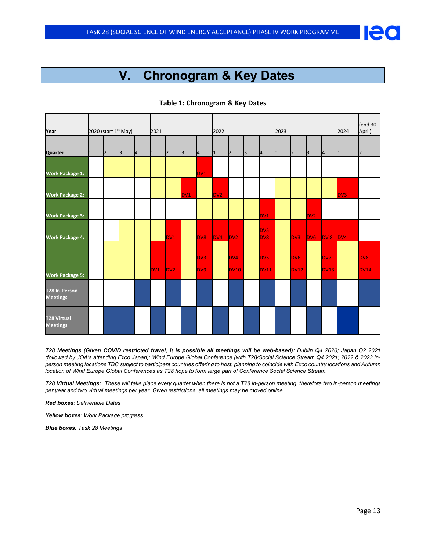## **V. Chronogram & Key Dates**

| Year                                    |   |                | 2020 (start 1 <sup>st</sup> May) |          | 2021 |         |                 |                   | 2022            |                |             |                               | 2023 |                         |                  |              | 2024      | (end 30)<br>April)      |
|-----------------------------------------|---|----------------|----------------------------------|----------|------|---------|-----------------|-------------------|-----------------|----------------|-------------|-------------------------------|------|-------------------------|------------------|--------------|-----------|-------------------------|
| Quarter                                 | 1 | $\overline{2}$ | $\mathsf{B}$                     | <b>A</b> | 11   | $\vert$ | $\mathsf{B}$    | <sup>4</sup>      | 11              | $\overline{2}$ | $\mathsf B$ | <b>A</b>                      | 1    | $\overline{2}$          | $\mathsf B$      | <sup>4</sup> | $\vert$ 1 | $\vert$ <sub>2</sub>    |
| <b>Work Package 1:</b>                  |   |                |                                  |          |      |         |                 | DV1               |                 |                |             |                               |      |                         |                  |              |           |                         |
| <b>Work Package 2:</b>                  |   |                |                                  |          |      |         | DV <sub>1</sub> |                   | DV <sub>2</sub> |                |             |                               |      |                         |                  |              | DV3       |                         |
| <b>Work Package 3:</b>                  |   |                |                                  |          |      |         |                 |                   |                 |                |             | DV1                           |      |                         | DV <sub>2</sub>  |              |           |                         |
| <b>Work Package 4:</b>                  |   |                |                                  |          |      | DV1     |                 | DV8               | DVA             | Dv2            |             | <b>DV5</b><br>DV <sub>8</sub> |      | DV3                     | D <sub>V</sub> 6 | DV8          | DV4       |                         |
| <b>Work Package 5:</b>                  |   |                |                                  |          | DV1  | Dv2     |                 | DV3<br><b>DV9</b> |                 | DV4<br>DV10    |             | DV5<br>DV11                   |      | DV <sub>6</sub><br>DV12 |                  | DV7<br>DV13  |           | DV <sub>8</sub><br>DV14 |
| <b>T28 In-Person</b><br><b>Meetings</b> |   |                |                                  |          |      |         |                 |                   |                 |                |             |                               |      |                         |                  |              |           |                         |
| <b>T28 Virtual</b><br><b>Meetings</b>   |   |                |                                  |          |      |         |                 |                   |                 |                |             |                               |      |                         |                  |              |           |                         |

### **Table 1: Chronogram & Key Dates**

*T28 Meetings (Given COVID restricted travel, it is possible all meetings will be web-based): Dublin Q4 2020; Japan Q2 2021 (followed by JOA's attending Exco Japan); Wind Europe Global Conference (with T28/Social Science Stream Q4 2021; 2022 & 2023 inperson meeting locations TBC subject to participant countries offering to host, planning to coincide with Exco country locations and Autumn location of Wind Europe Global Conferences as T28 hope to form large part of Conference Social Science Stream.*

*T28 Virtual Meetings: These will take place every quarter when there is not a T28 in-person meeting, therefore two in-person meetings per year and two virtual meetings per year. Given restrictions, all meetings may be moved online.*

*Red boxes: Deliverable Dates*

*Yellow boxes: Work Package progress*

*Blue boxes: Task 28 Meetings*

**Per**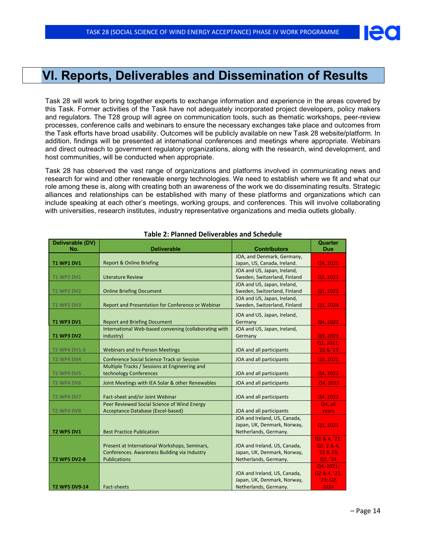

Task 28 will work to bring together experts to exchange information and experience in the areas covered by this Task. Former activities of the Task have not adequately incorporated project developers, policy makers and regulators. The T28 group will agree on communication tools, such as thematic workshops, peer-review processes, conference calls and webinars to ensure the necessary exchanges take place and outcomes from the Task efforts have broad usability. Outcomes will be publicly available on new Task 28 website/platform. In addition, findings will be presented at international conferences and meetings where appropriate. Webinars and direct outreach to government regulatory organizations, along with the research, wind development, and host communities, will be conducted when appropriate.

Task 28 has observed the vast range of organizations and platforms involved in communicating news and research for wind and other renewable energy technologies. We need to establish where we fit and what our role among these is, along with creating both an awareness of the work we do disseminating results. Strategic alliances and relationships can be established with many of these platforms and organizations which can include speaking at each other's meetings, working groups, and conferences. This will involve collaborating with universities, research institutes, industry representative organizations and media outlets globally.

| Deliverable (DV)<br>No. | <b>Deliverable</b>                                    | <b>Contributors</b>                                      | Quarter<br><b>Due</b>  |
|-------------------------|-------------------------------------------------------|----------------------------------------------------------|------------------------|
|                         |                                                       | JOA, and Denmark, Germany,                               |                        |
| <b>T1 WP1 DV1</b>       | <b>Report &amp; Online Briefing</b>                   | Japan, US, Canada, Ireland.                              | Q4, 2021               |
|                         |                                                       | JOA and US, Japan, Ireland,                              |                        |
| <b>T1 WP2 DV1</b>       | <b>Literature Review</b>                              | Sweden, Switzerland, Finland                             | Q3, 2021               |
|                         |                                                       | JOA and US, Japan, Ireland,                              |                        |
| <b>T1 WP2 DV2</b>       | <b>Online Briefing Document</b>                       | Sweden, Switzerland, Finland                             | Q1, 2022               |
|                         |                                                       | JOA and US, Japan, Ireland,                              |                        |
| <b>T1 WP2 DV3</b>       | Report and Presentation for Conference or Webinar     | Sweden, Switzerland, Finland                             | Q1, 2024               |
|                         |                                                       | JOA and US, Japan, Ireland,                              |                        |
| <b>T1 WP3 DV1</b>       | <b>Report and Briefing Document</b>                   | Germany                                                  | Q4, 2022               |
|                         | International Web-based convening (collaborating with | JOA and US, Japan, Ireland,                              |                        |
| <b>T1 WP3 DV2</b>       | industry)                                             | Germany                                                  | Q3, 2023               |
|                         |                                                       |                                                          | Q2, 2021,              |
| <b>T2 WP4 DV1-3</b>     | <b>Webinars and In-Person Meetings</b>                | JOA and all participants                                 | '22 & '23              |
| <b>T2 WP4 DV4</b>       | <b>Conference Social Science Track or Session</b>     | JOA and all participants                                 | Q3, 2021               |
|                         | Multiple Tracks / Sessions at Engineering and         |                                                          |                        |
| <b>T2 WP4 DV5</b>       | technology Conferences                                | JOA and all participants                                 | Q4, 2022               |
| <b>T2 WP4 DV6</b>       | Joint Meetings with IEA Solar & other Renewables      | JOA and all participants                                 | Q4, 2022               |
|                         |                                                       |                                                          |                        |
| <b>T2 WP4 DV7</b>       | Fact-sheet and/or Joint Webinar                       | JOA and all participants                                 | Q4, 2023               |
|                         | Peer Reviewed Social Science of Wind Energy           |                                                          | Q4, all                |
| <b>T2 WP4 DV8</b>       | Acceptance Database (Excel-based)                     | JOA and all participants<br>JOA and Ireland, US, Canada, | years                  |
|                         |                                                       | Japan, UK, Denmark, Norway,                              |                        |
| <b>T2 WP5 DV1</b>       | <b>Best Practice Publication</b>                      | Netherlands, Germany.                                    | Q1, 2021               |
|                         |                                                       |                                                          | Q2 & 4, '21;           |
|                         | Present at International Workshops, Seminars,         | JOA and Ireland, US, Canada,                             | Q1, 2 & 4,             |
|                         | Conferences. Awareness Building via Industry          | Japan, UK, Denmark, Norway,                              | '22 & 23;              |
| <b>T2 WP5 DV2-8</b>     | <b>Publications</b>                                   | Netherlands, Germany.                                    | Q2, '24                |
|                         |                                                       |                                                          | Q4, 2021;              |
|                         |                                                       | JOA and Ireland, US, Canada,                             | Q2 & 4, '22,           |
|                         |                                                       | Japan, UK, Denmark, Norway,                              | $'2\overline{3}$ ; Q2, |
| <b>T2 WP5 DV9-14</b>    | Fact-sheets                                           | Netherlands, Germany.                                    | 2024                   |

### **Table 2: Planned Deliverables and Schedule**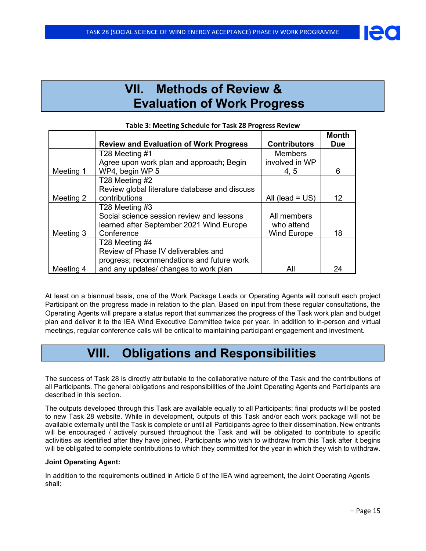## **VII. Methods of Review & Evaluation of Work Progress**

|           |                                               |                     | <b>Month</b> |
|-----------|-----------------------------------------------|---------------------|--------------|
|           | <b>Review and Evaluation of Work Progress</b> | <b>Contributors</b> | <b>Due</b>   |
|           | T28 Meeting #1                                | <b>Members</b>      |              |
|           | Agree upon work plan and approach; Begin      | involved in WP      |              |
| Meeting 1 | WP4, begin WP 5                               | 4, 5                | 6            |
|           | T28 Meeting #2                                |                     |              |
|           | Review global literature database and discuss |                     |              |
| Meeting 2 | contributions                                 | All (lead $= US$ )  | 12           |
|           | T28 Meeting #3                                |                     |              |
|           | Social science session review and lessons     | All members         |              |
|           | learned after September 2021 Wind Europe      | who attend          |              |
| Meeting 3 | Conference                                    | <b>Wind Europe</b>  | 18           |
|           | T28 Meeting #4                                |                     |              |
|           | Review of Phase IV deliverables and           |                     |              |
|           | progress; recommendations and future work     |                     |              |
| Meeting 4 | and any updates/ changes to work plan         | All                 | 24           |

At least on a biannual basis, one of the Work Package Leads or Operating Agents will consult each project Participant on the progress made in relation to the plan. Based on input from these regular consultations, the Operating Agents will prepare a status report that summarizes the progress of the Task work plan and budget plan and deliver it to the IEA Wind Executive Committee twice per year. In addition to in-person and virtual meetings, regular conference calls will be critical to maintaining participant engagement and investment.

## **VIII. Obligations and Responsibilities**

The success of Task 28 is directly attributable to the collaborative nature of the Task and the contributions of all Participants. The general obligations and responsibilities of the Joint Operating Agents and Participants are described in this section.

The outputs developed through this Task are available equally to all Participants; final products will be posted to new Task 28 website. While in development, outputs of this Task and/or each work package will not be available externally until the Task is complete or until all Participants agree to their dissemination. New entrants will be encouraged / actively pursued throughout the Task and will be obligated to contribute to specific activities as identified after they have joined. Participants who wish to withdraw from this Task after it begins will be obligated to complete contributions to which they committed for the year in which they wish to withdraw.

### **Joint Operating Agent:**

In addition to the requirements outlined in Article 5 of the IEA wind agreement, the Joint Operating Agents shall: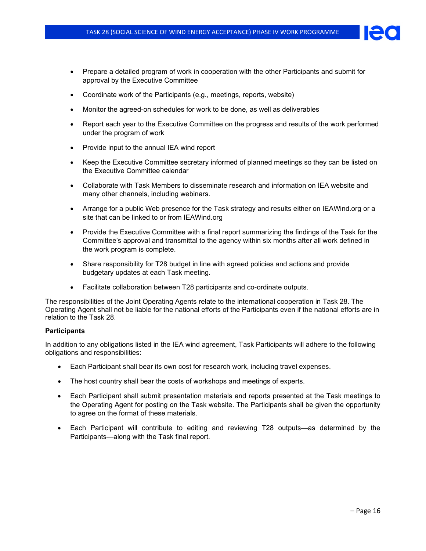- Prepare a detailed program of work in cooperation with the other Participants and submit for approval by the Executive Committee
- Coordinate work of the Participants (e.g., meetings, reports, website)
- Monitor the agreed-on schedules for work to be done, as well as deliverables
- Report each year to the Executive Committee on the progress and results of the work performed under the program of work
- Provide input to the annual IEA wind report
- Keep the Executive Committee secretary informed of planned meetings so they can be listed on the Executive Committee calendar
- Collaborate with Task Members to disseminate research and information on IEA website and many other channels, including webinars.
- Arrange for a public Web presence for the Task strategy and results either on IEAWind.org or a site that can be linked to or from IEAWind.org
- Provide the Executive Committee with a final report summarizing the findings of the Task for the Committee's approval and transmittal to the agency within six months after all work defined in the work program is complete.
- Share responsibility for T28 budget in line with agreed policies and actions and provide budgetary updates at each Task meeting.
- Facilitate collaboration between T28 participants and co-ordinate outputs.

The responsibilities of the Joint Operating Agents relate to the international cooperation in Task 28. The Operating Agent shall not be liable for the national efforts of the Participants even if the national efforts are in relation to the Task 28.

### **Participants**

In addition to any obligations listed in the IEA wind agreement, Task Participants will adhere to the following obligations and responsibilities:

- Each Participant shall bear its own cost for research work, including travel expenses.
- The host country shall bear the costs of workshops and meetings of experts.
- Each Participant shall submit presentation materials and reports presented at the Task meetings to the Operating Agent for posting on the Task website. The Participants shall be given the opportunity to agree on the format of these materials.
- Each Participant will contribute to editing and reviewing T28 outputs—as determined by the Participants—along with the Task final report.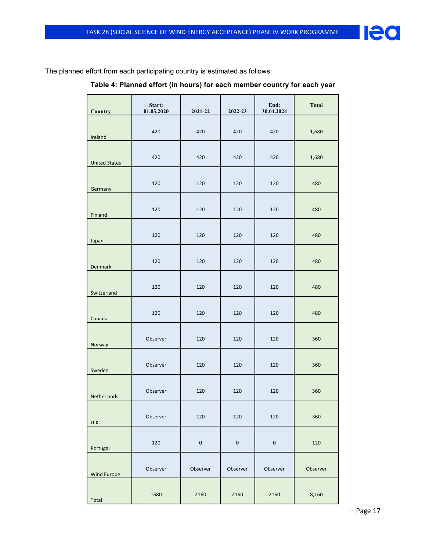

The planned effort from each participating country is estimated as follows:

|  |  |  | Table 4: Planned effort (in hours) for each member country for each year |
|--|--|--|--------------------------------------------------------------------------|
|--|--|--|--------------------------------------------------------------------------|

| Country              | Start:<br>01.05.2020 | 2021-22   | 2022-23   | End:<br>30.04.2024 | <b>Total</b> |
|----------------------|----------------------|-----------|-----------|--------------------|--------------|
| Ireland              | 420                  | 420       | 420       | 420                | 1,680        |
| <b>United States</b> | 420                  | 420       | 420       | 420                | 1,680        |
| Germany              | 120                  | 120       | 120       | 120                | 480          |
| Finland              | 120                  | 120       | 120       | 120                | 480          |
| Japan                | 120                  | 120       | 120       | 120                | 480          |
| <b>Denmark</b>       | 120                  | 120       | 120       | 120                | 480          |
| Switzerland          | 120                  | 120       | 120       | 120                | 480          |
| Canada               | 120                  | 120       | 120       | 120                | 480          |
|                      | Observer             | 120       | 120       | 120                | 360          |
| Norway               | Observer             | 120       | 120       | 120                | 360          |
| Sweden               | Observer             | 120       | 120       | 120                | 360          |
| Netherlands          | Observer             | 120       | 120       | 120                | 360          |
| U.K.                 | 120                  | $\pmb{0}$ | $\pmb{0}$ | $\mathbf 0$        | 120          |
| Portugal             | Observer             | Observer  | Observer  | Observer           | Observer     |
| Wind Europe<br>Total | 1680                 | 2160      | 2160      | 2160               | 8,160        |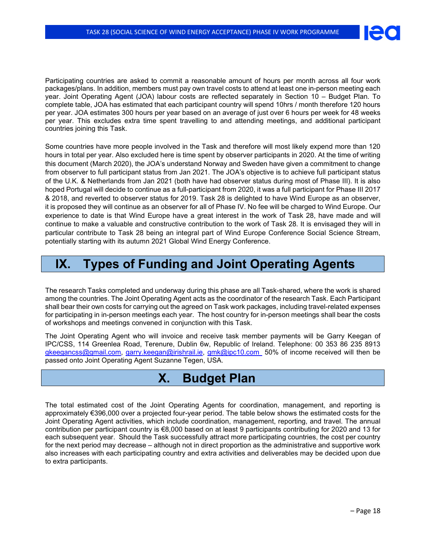Participating countries are asked to commit a reasonable amount of hours per month across all four work packages/plans. In addition, members must pay own travel costs to attend at least one in-person meeting each year. Joint Operating Agent (JOA) labour costs are reflected separately in Section 10 – Budget Plan. To complete table, JOA has estimated that each participant country will spend 10hrs / month therefore 120 hours per year. JOA estimates 300 hours per year based on an average of just over 6 hours per week for 48 weeks per year. This excludes extra time spent travelling to and attending meetings, and additional participant countries joining this Task.

Some countries have more people involved in the Task and therefore will most likely expend more than 120 hours in total per year. Also excluded here is time spent by observer participants in 2020. At the time of writing this document (March 2020), the JOA's understand Norway and Sweden have given a commitment to change from observer to full participant status from Jan 2021. The JOA's objective is to achieve full participant status of the U.K. & Netherlands from Jan 2021 (both have had observer status during most of Phase III). It is also hoped Portugal will decide to continue as a full-participant from 2020, it was a full participant for Phase III 2017 & 2018, and reverted to observer status for 2019. Task 28 is delighted to have Wind Europe as an observer, it is proposed they will continue as an observer for all of Phase IV. No fee will be charged to Wind Europe. Our experience to date is that Wind Europe have a great interest in the work of Task 28, have made and will continue to make a valuable and constructive contribution to the work of Task 28. It is envisaged they will in particular contribute to Task 28 being an integral part of Wind Europe Conference Social Science Stream, potentially starting with its autumn 2021 Global Wind Energy Conference.

## **IX. Types of Funding and Joint Operating Agents**

The research Tasks completed and underway during this phase are all Task-shared, where the work is shared among the countries. The Joint Operating Agent acts as the coordinator of the research Task. Each Participant shall bear their own costs for carrying out the agreed on Task work packages, including travel-related expenses for participating in in-person meetings each year. The host country for in-person meetings shall bear the costs of workshops and meetings convened in conjunction with this Task.

The Joint Operating Agent who will invoice and receive task member payments will be Garry Keegan of IPC/CSS, 114 Greenlea Road, Terenure, Dublin 6w, Republic of Ireland. Telephone: 00 353 86 235 8913 [gkeegancss@gmail.com,](mailto:gkeegancss@gmail.com) [garry.keegan@irishrail.ie,](mailto:garry.keegan@irishrail.ie) [gmk@ipc10.com](mailto:gmk@ipc10.com) 50% of income received will then be passed onto Joint Operating Agent Suzanne Tegen, USA.

## **X. Budget Plan**

The total estimated cost of the Joint Operating Agents for coordination, management, and reporting is approximately €396,000 over a projected four-year period. The table below shows the estimated costs for the Joint Operating Agent activities, which include coordination, management, reporting, and travel. The annual contribution per participant country is €8,000 based on at least 9 participants contributing for 2020 and 13 for each subsequent year. Should the Task successfully attract more participating countries, the cost per country for the next period may decrease – although not in direct proportion as the administrative and supportive work also increases with each participating country and extra activities and deliverables may be decided upon due to extra participants.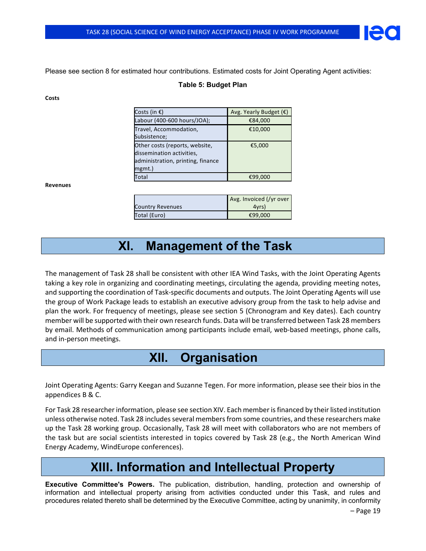Please see section 8 for estimated hour contributions. Estimated costs for Joint Operating Agent activities:

### **Table 5: Budget Plan**

**Costs**

| Costs (in $\epsilon$ )                                                                                     | Avg. Yearly Budget $(E)$ |
|------------------------------------------------------------------------------------------------------------|--------------------------|
| Labour (400-600 hours/JOA);                                                                                | €84,000                  |
| Travel, Accommodation,<br>Subsistence;                                                                     | €10,000                  |
| Other costs (reports, website,<br>dissemination activities,<br>administration, printing, finance<br>mgmt.) | €5,000                   |
| Total                                                                                                      | €99,000                  |
|                                                                                                            |                          |

**Revenues**

|                         | Avg. Invoiced (/yr over |
|-------------------------|-------------------------|
| <b>Country Revenues</b> | 4yrs)                   |
| Total (Euro)            | €99,000                 |

## **XI. Management of the Task**

The management of Task 28 shall be consistent with other IEA Wind Tasks, with the Joint Operating Agents taking a key role in organizing and coordinating meetings, circulating the agenda, providing meeting notes, and supporting the coordination of Task-specific documents and outputs. The Joint Operating Agents will use the group of Work Package leads to establish an executive advisory group from the task to help advise and plan the work. For frequency of meetings, please see section 5 (Chronogram and Key dates). Each country member will be supported with their own research funds. Data will be transferred between Task 28 members by email. Methods of communication among participants include email, web-based meetings, phone calls, and in-person meetings.

## **XII. Organisation**

Joint Operating Agents: Garry Keegan and Suzanne Tegen. For more information, please see their bios in the appendices B & C.

For Task 28 researcher information, please see section XIV. Each member is financed by their listed institution unless otherwise noted. Task 28 includes several members from some countries, and these researchers make up the Task 28 working group. Occasionally, Task 28 will meet with collaborators who are not members of the task but are social scientists interested in topics covered by Task 28 (e.g., the North American Wind Energy Academy, WindEurope conferences).

## **XIII. Information and Intellectual Property**

**Executive Committee's Powers.** The publication, distribution, handling, protection and ownership of information and intellectual property arising from activities conducted under this Task, and rules and procedures related thereto shall be determined by the Executive Committee, acting by unanimity, in conformity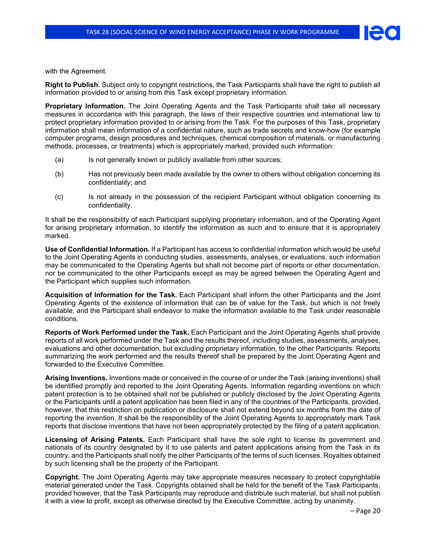

with the Agreement.

**Right to Publish.** Subject only to copyright restrictions, the Task Participants shall have the right to publish all information provided to or arising from this Task except proprietary information.

**Proprietary Information.** The Joint Operating Agents and the Task Participants shall take all necessary measures in accordance with this paragraph, the laws of their respective countries and international law to protect proprietary information provided to or arising from the Task. For the purposes of this Task, proprietary information shall mean information of a confidential nature, such as trade secrets and know-how (for example computer programs, design procedures and techniques, chemical composition of materials, or manufacturing methods, processes, or treatments) which is appropriately marked, provided such information:

- (a) Is not generally known or publicly available from other sources;
- (b) Has not previously been made available by the owner to others without obligation concerning its confidentiality; and
- (c) Is not already in the possession of the recipient Participant without obligation concerning its confidentiality.

It shall be the responsibility of each Participant supplying proprietary information, and of the Operating Agent for arising proprietary information, to identify the information as such and to ensure that it is appropriately marked.

**Use of Confidential Information.** If a Participant has access to confidential information which would be useful to the Joint Operating Agents in conducting studies, assessments, analyses, or evaluations, such information may be communicated to the Operating Agents but shall not become part of reports or other documentation, nor be communicated to the other Participants except as may be agreed between the Operating Agent and the Participant which supplies such information.

**Acquisition of Information for the Task.** Each Participant shall inform the other Participants and the Joint Operating Agents of the existence of information that can be of value for the Task, but which is not freely available, and the Participant shall endeavor to make the information available to the Task under reasonable conditions.

**Reports of Work Performed under the Task.** Each Participant and the Joint Operating Agents shall provide reports of all work performed under the Task and the results thereof, including studies, assessments, analyses, evaluations and other documentation, but excluding proprietary information, to the other Participants. Reports summarizing the work performed and the results thereof shall be prepared by the Joint Operating Agent and forwarded to the Executive Committee.

**Arising Inventions.** Inventions made or conceived in the course of or under the Task (arising inventions) shall be identified promptly and reported to the Joint Operating Agents. Information regarding inventions on which patent protection is to be obtained shall not be published or publicly disclosed by the Joint Operating Agents or the Participants until a patent application has been filed in any of the countries of the Participants, provided, however, that this restriction on publication or disclosure shall not extend beyond six months from the date of reporting the invention. It shall be the responsibility of the Joint Operating Agents to appropriately mark Task reports that disclose inventions that have not been appropriately protected by the filing of a patent application.

**Licensing of Arising Patents.** Each Participant shall have the sole right to license its government and nationals of its country designated by it to use patents and patent applications arising from the Task in its country, and the Participants shall notify the other Participants of the terms of such licenses. Royalties obtained by such licensing shall be the property of the Participant.

**Copyright.** The Joint Operating Agents may take appropriate measures necessary to protect copyrightable material generated under the Task. Copyrights obtained shall be held for the benefit of the Task Participants, provided however, that the Task Participants may reproduce and distribute such material, but shall not publish it with a view to profit, except as otherwise directed by the Executive Committee, acting by unanimity.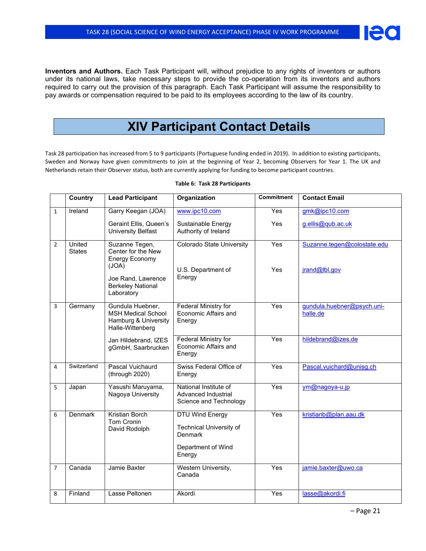**Inventors and Authors.** Each Task Participant will, without prejudice to any rights of inventors or authors under its national laws, take necessary steps to provide the co-operation from its inventors and authors required to carry out the provision of this paragraph. Each Task Participant will assume the responsibility to pay awards or compensation required to be paid to its employees according to the law of its country.

## **XIV Participant Contact Details**

Task 28 participation has increased from 5 to 9 participants (Portuguese funding ended in 2019). In addition to existing participants, Sweden and Norway have given commitments to join at the beginning of Year 2, becoming Observers for Year 1. The UK and Netherlands retain their Observer status, both are currently applying for funding to become participant countries.

|                | Country                 | <b>Lead Participant</b>                                                                   | Organization                                                                                 | Commitment       | <b>Contact Email</b>                   |
|----------------|-------------------------|-------------------------------------------------------------------------------------------|----------------------------------------------------------------------------------------------|------------------|----------------------------------------|
| $\mathbf{1}$   | Ireland                 | Garry Keegan (JOA)                                                                        | www.ipc10.com                                                                                | Yes              | gmk@jpc10.com                          |
|                |                         | Geraint Ellis, Queen's<br><b>University Belfast</b>                                       | Sustainable Energy<br>Authority of Ireland                                                   | Yes              | g.ellis@qub.ac.uk                      |
| $\overline{2}$ | United<br><b>States</b> | Suzanne Tegen,<br>Center for the New<br><b>Energy Economy</b><br>(JOA)                    | Colorado State University<br>U.S. Department of                                              | Yes<br>Yes       | Suzanne.tegen@colostate.edu            |
|                |                         | Joe Rand, Lawrence<br><b>Berkeley National</b><br>Laboratory                              | Energy                                                                                       |                  | jrand@lbl.gov                          |
| 3              | Germany                 | Gundula Huebner,<br><b>MSH Medical School</b><br>Hamburg & University<br>Halle-Wittenberg | <b>Federal Ministry for</b><br>Economic Affairs and<br>Energy                                | Yes              | gundula.huebner@psych.uni-<br>halle.de |
|                |                         | Jan Hildebrand, IZES<br>gGmbH, Saarbrucken                                                | Federal Ministry for<br>Economic Affairs and<br>Energy                                       | Yes              | hildebrand@izes.de                     |
| 4              | Switzerland             | Pascal Vuichaurd<br>(through 2020)                                                        | Swiss Federal Office of<br>Energy                                                            | $\overline{Yes}$ | Pascal.vuichard@unisg.ch               |
| 5              | Japan                   | Yasushi Maruyama,<br>Nagoya University                                                    | National Institute of<br>Advanced Industrial<br>Science and Technology                       | Yes              | ym@nagoya-u.jp                         |
| 6              | Denmark                 | Kristian Borch<br>Tom Cronin<br>David Rodolph                                             | DTU Wind Energy<br><b>Technical University of</b><br>Denmark<br>Department of Wind<br>Energy | Yes              | kristianb@plan.aau.dk                  |
| $\overline{7}$ | Canada                  | Jamie Baxter                                                                              | Western University,<br>Canada                                                                | Yes              | jamie.baxter@uwo.ca                    |
| 8              | Finland                 | Lasse Peltonen                                                                            | Akordi                                                                                       | Yes              | lasse@akordi.fi                        |

#### **Table 6: Task 28 Participants**

Ie